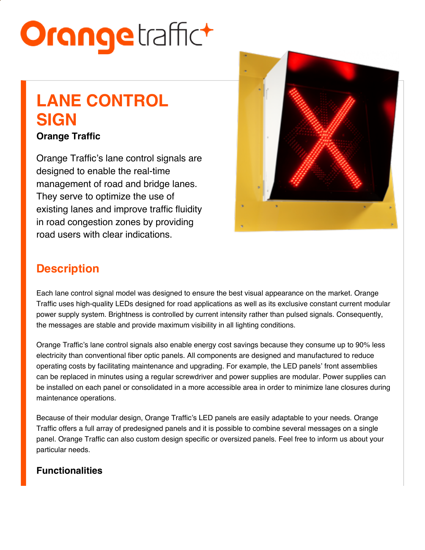# **Orange**traffict

# **LANE CONTROL SIGN**

#### **Orange Traffic**

Orange Traffic's lane control signals are designed to enable the real-time management of road and bridge lanes. They serve to optimize the use of existing lanes and improve traffic fluidity in road congestion zones by providing road users with clear indications.



## **Description**

Each lane control signal model was designed to ensure the best visual appearance on the market. Orange Traffic uses high-quality LEDs designed for road applications as well as its exclusive constant current modular power supply system. Brightness is controlled by current intensity rather than pulsed signals. Consequently, the messages are stable and provide maximum visibility in all lighting conditions.

Orange Traffic's lane control signals also enable energy cost savings because they consume up to 90% less electricity than conventional fiber optic panels. All components are designed and manufactured to reduce operating costs by facilitating maintenance and upgrading. For example, the LED panels' front assemblies can be replaced in minutes using a regular screwdriver and power supplies are modular. Power supplies can be installed on each panel or consolidated in a more accessible area in order to minimize lane closures during maintenance operations.

Because of their modular design, Orange Traffic's LED panels are easily adaptable to your needs. Orange Traffic offers a full array of predesigned panels and it is possible to combine several messages on a single panel. Orange Traffic can also custom design specific or oversized panels. Feel free to inform us about your particular needs.

#### **Functionalities**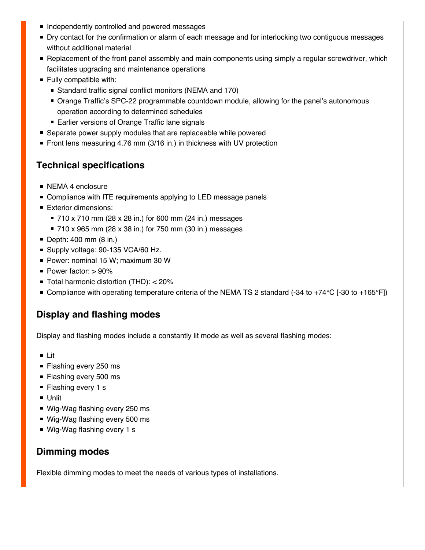- **Independently controlled and powered messages**
- **Dry contact for the confirmation or alarm of each message and for interlocking two contiguous messages** without additional material
- **P** Replacement of the front panel assembly and main components using simply a regular screwdriver, which facilitates upgrading and maintenance operations
- **Fully compatible with:** 
	- Standard traffic signal conflict monitors (NEMA and 170)
	- Orange Traffic's SPC-22 programmable countdown module, allowing for the panel's autonomous operation according to determined schedules
	- Earlier versions of Orange Traffic lane signals
- Separate power supply modules that are replaceable while powered
- Front lens measuring 4.76 mm (3/16 in.) in thickness with UV protection

#### **Technical specifications**

- **NEMA 4 enclosure**
- Compliance with ITE requirements applying to LED message panels
- **Exterior dimensions:** 
	- 710 x 710 mm (28 x 28 in.) for 600 mm (24 in.) messages
	- 710 x 965 mm (28 x 38 in.) for 750 mm (30 in.) messages
- Depth: 400 mm (8 in.)
- Supply voltage: 90-135 VCA/60 Hz.
- Power: nominal 15 W; maximum 30 W
- Power factor: > 90%
- Total harmonic distortion (THD): < 20%
- Compliance with operating temperature criteria of the NEMA TS 2 standard (-34 to +74°C [-30 to +165°F])

#### **Display and flashing modes**

Display and flashing modes include a constantly lit mode as well as several flashing modes:

- Lit
- **Flashing every 250 ms**
- **Flashing every 500 ms**
- Flashing every 1 s
- Unlit
- Wig-Wag flashing every 250 ms
- Wig-Wag flashing every 500 ms
- Wig-Wag flashing every 1 s

#### **Dimming modes**

Flexible dimming modes to meet the needs of various types of installations.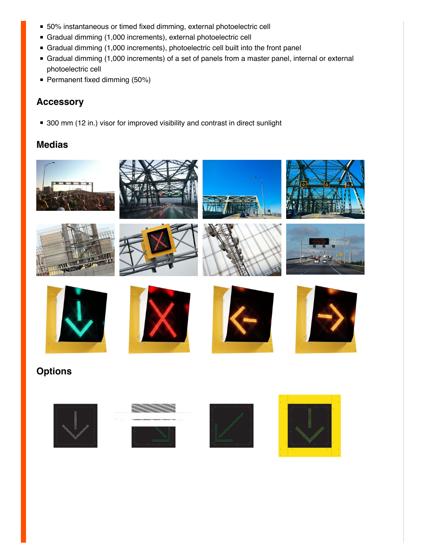- 50% instantaneous or timed fixed dimming, external photoelectric cell
- Gradual dimming (1,000 increments), external photoelectric cell
- Gradual dimming (1,000 increments), photoelectric cell built into the front panel
- Gradual dimming (1,000 increments) of a set of panels from a master panel, internal or external photoelectric cell
- Permanent fixed dimming (50%)

#### **Accessory**

■ 300 mm (12 in.) visor for improved visibility and contrast in direct sunlight

#### **Medias**





















### **Options**